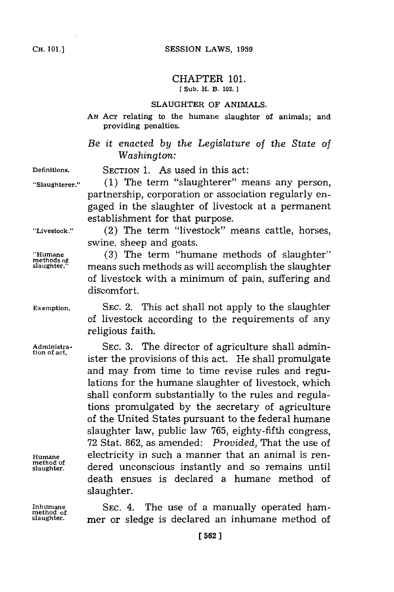## CHAPTER **101. [ Sub. H. B. 102.]1**

## **SLAUGHTER** OF **ANIMALS.**

**AN ACT** relating to the humane slaughter of animals; and providing penalties.

*Be it enacted by the Legislature of the State of Washington:*

**Definitions.** SECTION **1.** As used in this act:

**"Slaughterer." (1)** The term "slaughterer" means any person, partnership, corporation or association regularly engaged in the slaughter of livestock at a permanent establishment for that purpose.

**"Livestock."** (2) The term "livestock" means cattle, horses, swine, sheep and goats.

> means such methods as will accomplish the slaughter of livestock with a minimum of pain, suffering and

**"Humane (3)** The term "humane methods of slaughter" **methods of**

**Exemption. SEC.** 2. This act shall not apply to the slaughter of livestock according to the requirements of any religious faith.

Administra- SEC. 3. The director of agriculture shall admintion of act.<br>ister the provisions of this act. He shall promulgate and may from time to time revise rules and regulations for the humane slaughter of livestock, which shall conform substantially to the rules and regulations promulgated **by** the secretary of agriculture of the United States pursuant to the federal humane slaughter law, public law **765,** eighty-fifth congress, **72** Stat. **862,** as amended: *Provided,* That the use of **Humane** electricity in such a manner that an animal is rendered unconscious instantly and so remains until death ensues is declared a humane method of slaughter.

**Inhumane SEC.** 4. The use of a manually operated hammer or sledge is declared an inhumane method of

discomfort.

**method of**

**method of**